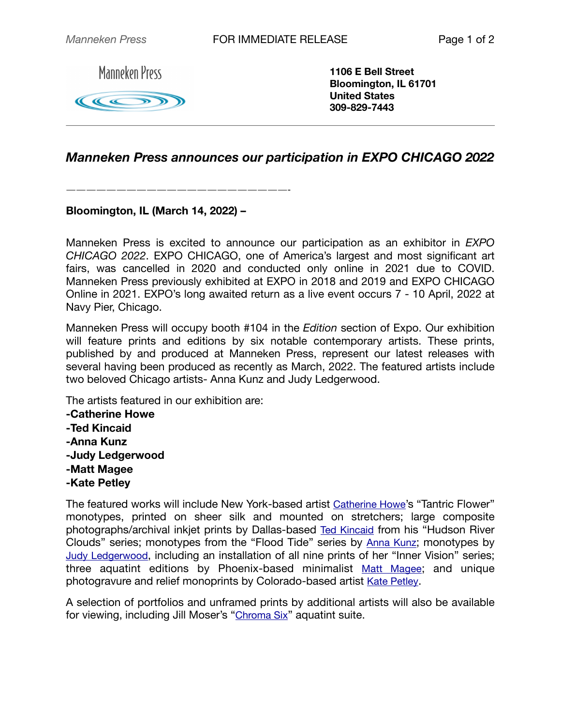**Manneken Press** 

KKK

**1106 E Bell Street Bloomington, IL 61701 United States 309-829-7443**

## *Manneken Press announces our participation in EXPO CHICAGO 2022*

——————————————————————-

## **Bloomington, IL (March 14, 2022) –**

Manneken Press is excited to announce our participation as an exhibitor in *EXPO CHICAGO 2022*. EXPO CHICAGO, one of America's largest and most significant art fairs, was cancelled in 2020 and conducted only online in 2021 due to COVID. Manneken Press previously exhibited at EXPO in 2018 and 2019 and EXPO CHICAGO Online in 2021. EXPO's long awaited return as a live event occurs 7 - 10 April, 2022 at Navy Pier, Chicago.

Manneken Press will occupy booth #104 in the *Edition* section of Expo. Our exhibition will feature prints and editions by six notable contemporary artists. These prints, published by and produced at Manneken Press, represent our latest releases with several having been produced as recently as March, 2022. The featured artists include two beloved Chicago artists- Anna Kunz and Judy Ledgerwood.

The artists featured in our exhibition are:

**-Catherine Howe -Ted Kincaid -Anna Kunz -Judy Ledgerwood -Matt Magee -Kate Petley**

The featured works will include New York-based artist [Catherine Howe'](https://mannekenpress.com/artists/catherine-howe-prints/catherine-howe-monotypes/)s "Tantric Flower" monotypes, printed on sheer silk and mounted on stretchers; large composite photographs/archival inkjet prints by Dallas-based [Ted Kincaid](https://mannekenpress.com/artists/ted-kincaid-prints/ted-kincaid-hudson-valley-clouds/) from his "Hudson River Clouds" series; monotypes from the "Flood Tide" series by [Anna Kunz;](https://mannekenpress.com/artists/anna-kunz/) monotypes by [Judy Ledgerwood,](https://mannekenpress.com/artists/judy-ledgerwood-prints/judy-ledgerwood-monotypes/) including an installation of all nine prints of her "Inner Vision" series; three aquatint editions by Phoenix-based minimalist [Matt Magee](https://mannekenpress.com/artists/matt-magee-prints/); and unique photogravure and relief monoprints by Colorado-based artist [Kate Petley.](https://mannekenpress.com/artists/kate-petley-monoprints/)

A selection of portfolios and unframed prints by additional artists will also be available for viewing, including Jill Moser's "[Chroma Six](https://mannekenpress.com/artists/jill-moser-chroma-six-aquatints/)" aquatint suite.